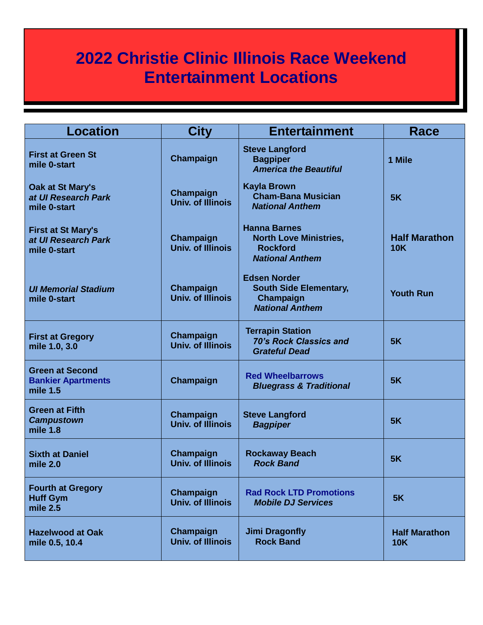## **2022 Christie Clinic Illinois Race Weekend Entertainment Locations**

| <b>Location</b>                                                   | City                                  | <b>Entertainment</b>                                                                              | Race                               |
|-------------------------------------------------------------------|---------------------------------------|---------------------------------------------------------------------------------------------------|------------------------------------|
| <b>First at Green St</b><br>mile 0-start                          | Champaign                             | <b>Steve Langford</b><br><b>Bagpiper</b><br><b>America the Beautiful</b>                          | 1 Mile                             |
| Oak at St Mary's<br>at UI Research Park<br>mile 0-start           | Champaign<br><b>Univ. of Illinois</b> | <b>Kayla Brown</b><br><b>Cham-Bana Musician</b><br><b>National Anthem</b>                         | 5K                                 |
| <b>First at St Mary's</b><br>at UI Research Park<br>mile 0-start  | Champaign<br><b>Univ. of Illinois</b> | <b>Hanna Barnes</b><br><b>North Love Ministries,</b><br><b>Rockford</b><br><b>National Anthem</b> | <b>Half Marathon</b><br><b>10K</b> |
| <b>UI Memorial Stadium</b><br>mile 0-start                        | Champaign<br><b>Univ. of Illinois</b> | <b>Edsen Norder</b><br><b>South Side Elementary,</b><br>Champaign<br><b>National Anthem</b>       | <b>Youth Run</b>                   |
| <b>First at Gregory</b><br>mile 1.0, 3.0                          | Champaign<br><b>Univ. of Illinois</b> | <b>Terrapin Station</b><br><b>70's Rock Classics and</b><br><b>Grateful Dead</b>                  | 5K                                 |
| <b>Green at Second</b><br><b>Bankier Apartments</b><br>mile $1.5$ | Champaign                             | <b>Red Wheelbarrows</b><br><b>Bluegrass &amp; Traditional</b>                                     | 5K                                 |
| <b>Green at Fifth</b><br><b>Campustown</b><br>mile 1.8            | Champaign<br><b>Univ. of Illinois</b> | <b>Steve Langford</b><br><b>Bagpiper</b>                                                          | 5K                                 |
| <b>Sixth at Daniel</b><br>mile $2.0$                              | Champaign<br><b>Univ. of Illinois</b> | <b>Rockaway Beach</b><br><b>Rock Band</b>                                                         | 5K                                 |
| <b>Fourth at Gregory</b><br><b>Huff Gym</b><br>mile 2.5           | Champaign<br><b>Univ. of Illinois</b> | <b>Rad Rock LTD Promotions</b><br><b>Mobile DJ Services</b>                                       | 5K                                 |
| <b>Hazelwood at Oak</b><br>mile 0.5, 10.4                         | Champaign<br><b>Univ. of Illinois</b> | <b>Jimi Dragonfly</b><br><b>Rock Band</b>                                                         | <b>Half Marathon</b><br><b>10K</b> |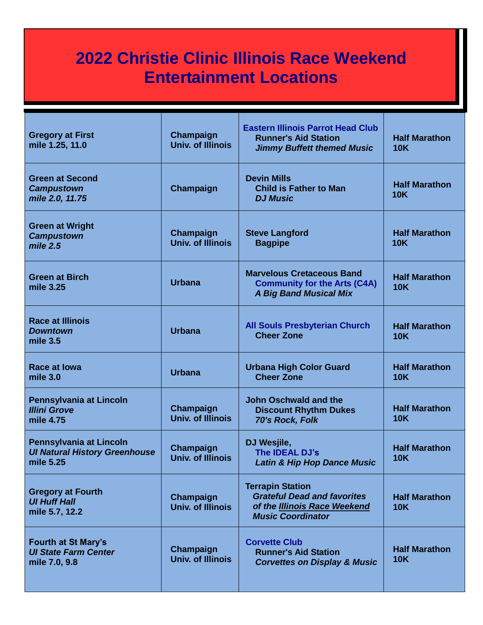## **2022 Christie Clinic Illinois Race Weekend Entertainment Locations**

| <b>Gregory at First</b><br>mile 1.25, 11.0                                   | Champaign<br><b>Univ. of Illinois</b> | <b>Eastern Illinois Parrot Head Club</b><br><b>Runner's Aid Station</b><br><b>Jimmy Buffett themed Music</b>              | <b>Half Marathon</b><br><b>10K</b> |
|------------------------------------------------------------------------------|---------------------------------------|---------------------------------------------------------------------------------------------------------------------------|------------------------------------|
| <b>Green at Second</b><br><b>Campustown</b><br>mile 2.0, 11.75               | Champaign                             | <b>Devin Mills</b><br><b>Child is Father to Man</b><br><b>DJ Music</b>                                                    | <b>Half Marathon</b><br><b>10K</b> |
| <b>Green at Wright</b><br><b>Campustown</b><br>mile 2.5                      | Champaign<br><b>Univ. of Illinois</b> | <b>Steve Langford</b><br><b>Bagpipe</b>                                                                                   | <b>Half Marathon</b><br><b>10K</b> |
| <b>Green at Birch</b><br>mile 3.25                                           | <b>Urbana</b>                         | <b>Marvelous Cretaceous Band</b><br><b>Community for the Arts (C4A)</b><br><b>A Big Band Musical Mix</b>                  | <b>Half Marathon</b><br><b>10K</b> |
| <b>Race at Illinois</b><br><b>Downtown</b><br>mile 3.5                       | <b>Urbana</b>                         | <b>All Souls Presbyterian Church</b><br><b>Cheer Zone</b>                                                                 | <b>Half Marathon</b><br><b>10K</b> |
| <b>Race at lowa</b><br>mile $3.0$                                            | <b>Urbana</b>                         | <b>Urbana High Color Guard</b><br><b>Cheer Zone</b>                                                                       | <b>Half Marathon</b><br><b>10K</b> |
| Pennsylvania at Lincoln<br><b>Illini Grove</b><br>mile 4.75                  | Champaign<br><b>Univ. of Illinois</b> | <b>John Oschwald and the</b><br><b>Discount Rhythm Dukes</b><br>70's Rock, Folk                                           | <b>Half Marathon</b><br><b>10K</b> |
| Pennsylvania at Lincoln<br><b>Ul Natural History Greenhouse</b><br>mile 5.25 | Champaign<br><b>Univ. of Illinois</b> | DJ Wesjile,<br>The <b>IDEAL DJ's</b><br><b>Latin &amp; Hip Hop Dance Music</b>                                            | <b>Half Marathon</b><br><b>10K</b> |
| <b>Gregory at Fourth</b><br><b>UI Huff Hall</b><br>mile 5.7, 12.2            | Champaign<br><b>Univ. of Illinois</b> | <b>Terrapin Station</b><br><b>Grateful Dead and favorites</b><br>of the Illinois Race Weekend<br><b>Music Coordinator</b> | <b>Half Marathon</b><br><b>10K</b> |
| <b>Fourth at St Mary's</b><br><b>UI State Farm Center</b><br>mile 7.0, 9.8   | Champaign<br><b>Univ. of Illinois</b> | <b>Corvette Club</b><br><b>Runner's Aid Station</b><br><b>Corvettes on Display &amp; Music</b>                            | <b>Half Marathon</b><br><b>10K</b> |